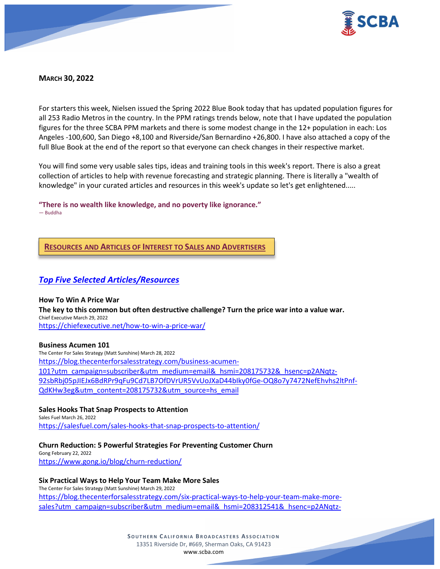

# **MARCH 30, 2022**

For starters this week, Nielsen issued the Spring 2022 Blue Book today that has updated population figures for all 253 Radio Metros in the country. In the PPM ratings trends below, note that I have updated the population figures for the three SCBA PPM markets and there is some modest change in the 12+ population in each: Los Angeles -100,600, San Diego +8,100 and Riverside/San Bernardino +26,800. I have also attached a copy of the full Blue Book at the end of the report so that everyone can check changes in their respective market.

You will find some very usable sales tips, ideas and training tools in this week's report. There is also a great collection of articles to help with revenue forecasting and strategic planning. There is literally a "wealth of knowledge" in your curated articles and resources in this week's update so let's get enlightened.....

**"There is no wealth like knowledge, and no poverty like ignorance."** ― Buddha

**RESOURCES AND ARTICLES OF INTEREST TO SALES AND ADVERTISERS**

# *Top Five Selected Articles/Resources*

**How To Win A Price War The key to this common but often destructive challenge? Turn the price war into a value war.** Chief Executive March 29, 2022 <https://chiefexecutive.net/how-to-win-a-price-war/>

**Business Acumen 101**

The Center For Sales Strategy (Matt Sunshine) March 28, 2022 [https://blog.thecenterforsalesstrategy.com/business-acumen-](https://blog.thecenterforsalesstrategy.com/business-acumen-101?utm_campaign=subscriber&utm_medium=email&_hsmi=208175732&_hsenc=p2ANqtz-92sbRbj05pJIEJx6BdRPr9qFu9Cd7LB7OfDVrUR5VvUoJXaD44bIky0fGe-OQ8o7y7472NefEhvhs2ltPnf-QdKHw3eg&utm_content=208175732&utm_source=hs_email)[101?utm\\_campaign=subscriber&utm\\_medium=email&\\_hsmi=208175732&\\_hsenc=p2ANqtz-](https://blog.thecenterforsalesstrategy.com/business-acumen-101?utm_campaign=subscriber&utm_medium=email&_hsmi=208175732&_hsenc=p2ANqtz-92sbRbj05pJIEJx6BdRPr9qFu9Cd7LB7OfDVrUR5VvUoJXaD44bIky0fGe-OQ8o7y7472NefEhvhs2ltPnf-QdKHw3eg&utm_content=208175732&utm_source=hs_email)[92sbRbj05pJIEJx6BdRPr9qFu9Cd7LB7OfDVrUR5VvUoJXaD44bIky0fGe-OQ8o7y7472NefEhvhs2ltPnf-](https://blog.thecenterforsalesstrategy.com/business-acumen-101?utm_campaign=subscriber&utm_medium=email&_hsmi=208175732&_hsenc=p2ANqtz-92sbRbj05pJIEJx6BdRPr9qFu9Cd7LB7OfDVrUR5VvUoJXaD44bIky0fGe-OQ8o7y7472NefEhvhs2ltPnf-QdKHw3eg&utm_content=208175732&utm_source=hs_email)[QdKHw3eg&utm\\_content=208175732&utm\\_source=hs\\_email](https://blog.thecenterforsalesstrategy.com/business-acumen-101?utm_campaign=subscriber&utm_medium=email&_hsmi=208175732&_hsenc=p2ANqtz-92sbRbj05pJIEJx6BdRPr9qFu9Cd7LB7OfDVrUR5VvUoJXaD44bIky0fGe-OQ8o7y7472NefEhvhs2ltPnf-QdKHw3eg&utm_content=208175732&utm_source=hs_email)

**Sales Hooks That Snap Prospects to Attention** Sales Fuel March 26, 2022 <https://salesfuel.com/sales-hooks-that-snap-prospects-to-attention/>

### **Churn Reduction: 5 Powerful Strategies For Preventing Customer Churn**

Gong February 22, 2022 <https://www.gong.io/blog/churn-reduction/>

### **Six Practical Ways to Help Your Team Make More Sales**

The Center For Sales Strategy (Matt Sunshine) March 29, 2022 [https://blog.thecenterforsalesstrategy.com/six-practical-ways-to-help-your-team-make-more](https://blog.thecenterforsalesstrategy.com/six-practical-ways-to-help-your-team-make-more-sales?utm_campaign=subscriber&utm_medium=email&_hsmi=208312541&_hsenc=p2ANqtz-8xT2yNVrQuUhdC7cRFr22xT0P77pL5F50CkEeCIMur2NptkBplNcWyZvdqxGD1WARyGgkFuuFXg4sdX4LEQ_0wjuKg1A&utm_content=208312541&utm_source=hs_email)[sales?utm\\_campaign=subscriber&utm\\_medium=email&\\_hsmi=208312541&\\_hsenc=p2ANqtz-](https://blog.thecenterforsalesstrategy.com/six-practical-ways-to-help-your-team-make-more-sales?utm_campaign=subscriber&utm_medium=email&_hsmi=208312541&_hsenc=p2ANqtz-8xT2yNVrQuUhdC7cRFr22xT0P77pL5F50CkEeCIMur2NptkBplNcWyZvdqxGD1WARyGgkFuuFXg4sdX4LEQ_0wjuKg1A&utm_content=208312541&utm_source=hs_email)

> **SOUTHERN C ALIFORNIA B ROADCASTERS ASSOCIATION** 13351 Riverside Dr, #669, Sherman Oaks, CA 91423 [www.scba.com](http://www.scba.com/)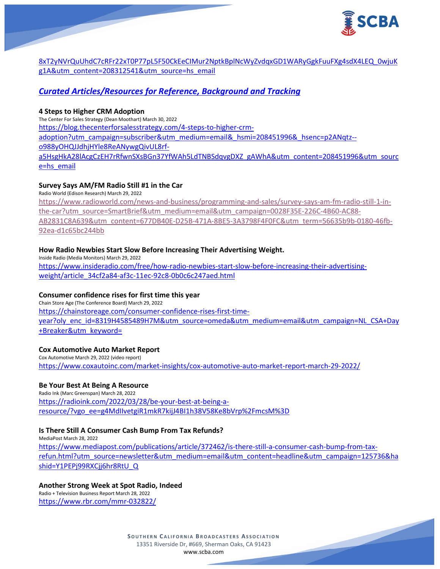

[8xT2yNVrQuUhdC7cRFr22xT0P77pL5F50CkEeCIMur2NptkBplNcWyZvdqxGD1WARyGgkFuuFXg4sdX4LEQ\\_0wjuK](https://blog.thecenterforsalesstrategy.com/six-practical-ways-to-help-your-team-make-more-sales?utm_campaign=subscriber&utm_medium=email&_hsmi=208312541&_hsenc=p2ANqtz-8xT2yNVrQuUhdC7cRFr22xT0P77pL5F50CkEeCIMur2NptkBplNcWyZvdqxGD1WARyGgkFuuFXg4sdX4LEQ_0wjuKg1A&utm_content=208312541&utm_source=hs_email) [g1A&utm\\_content=208312541&utm\\_source=hs\\_email](https://blog.thecenterforsalesstrategy.com/six-practical-ways-to-help-your-team-make-more-sales?utm_campaign=subscriber&utm_medium=email&_hsmi=208312541&_hsenc=p2ANqtz-8xT2yNVrQuUhdC7cRFr22xT0P77pL5F50CkEeCIMur2NptkBplNcWyZvdqxGD1WARyGgkFuuFXg4sdX4LEQ_0wjuKg1A&utm_content=208312541&utm_source=hs_email)

# *Curated Articles/Resources for Reference, Background and Tracking*

## **4 Steps to Higher CRM Adoption**

The Center For Sales Strategy (Dean Moothart) March 30, 2022

[https://blog.thecenterforsalesstrategy.com/4-steps-to-higher-crm-](https://blog.thecenterforsalesstrategy.com/4-steps-to-higher-crm-adoption?utm_campaign=subscriber&utm_medium=email&_hsmi=208451996&_hsenc=p2ANqtz--o988yOHQJJdhjHYle8ReANywgQivUL8rf-a5HsgHkA28lAcgCzEH7rRfwnSXsBGn37YfWAh5LdTNBSdqvgDXZ_gAWhA&utm_content=208451996&utm_source=hs_email)

[adoption?utm\\_campaign=subscriber&utm\\_medium=email&\\_hsmi=208451996&\\_hsenc=p2ANqtz--](https://blog.thecenterforsalesstrategy.com/4-steps-to-higher-crm-adoption?utm_campaign=subscriber&utm_medium=email&_hsmi=208451996&_hsenc=p2ANqtz--o988yOHQJJdhjHYle8ReANywgQivUL8rf-a5HsgHkA28lAcgCzEH7rRfwnSXsBGn37YfWAh5LdTNBSdqvgDXZ_gAWhA&utm_content=208451996&utm_source=hs_email)

[o988yOHQJJdhjHYle8ReANywgQivUL8rf-](https://blog.thecenterforsalesstrategy.com/4-steps-to-higher-crm-adoption?utm_campaign=subscriber&utm_medium=email&_hsmi=208451996&_hsenc=p2ANqtz--o988yOHQJJdhjHYle8ReANywgQivUL8rf-a5HsgHkA28lAcgCzEH7rRfwnSXsBGn37YfWAh5LdTNBSdqvgDXZ_gAWhA&utm_content=208451996&utm_source=hs_email)

[a5HsgHkA28lAcgCzEH7rRfwnSXsBGn37YfWAh5LdTNBSdqvgDXZ\\_gAWhA&utm\\_content=208451996&utm\\_sourc](https://blog.thecenterforsalesstrategy.com/4-steps-to-higher-crm-adoption?utm_campaign=subscriber&utm_medium=email&_hsmi=208451996&_hsenc=p2ANqtz--o988yOHQJJdhjHYle8ReANywgQivUL8rf-a5HsgHkA28lAcgCzEH7rRfwnSXsBGn37YfWAh5LdTNBSdqvgDXZ_gAWhA&utm_content=208451996&utm_source=hs_email) [e=hs\\_email](https://blog.thecenterforsalesstrategy.com/4-steps-to-higher-crm-adoption?utm_campaign=subscriber&utm_medium=email&_hsmi=208451996&_hsenc=p2ANqtz--o988yOHQJJdhjHYle8ReANywgQivUL8rf-a5HsgHkA28lAcgCzEH7rRfwnSXsBGn37YfWAh5LdTNBSdqvgDXZ_gAWhA&utm_content=208451996&utm_source=hs_email)

# **Survey Says AM/FM Radio Still #1 in the Car**

Radio World (Edison Research) March 29, 2022

[https://www.radioworld.com/news-and-business/programming-and-sales/survey-says-am-fm-radio-still-1-in](https://www.radioworld.com/news-and-business/programming-and-sales/survey-says-am-fm-radio-still-1-in-the-car?utm_source=SmartBrief&utm_medium=email&utm_campaign=0028F35E-226C-4B60-AC88-AB2831C8A639&utm_content=677DB40E-D25B-471A-8BE5-3A3798F4F0FC&utm_term=56635b9b-0180-46fb-92ea-d1c65bc244bb)[the-car?utm\\_source=SmartBrief&utm\\_medium=email&utm\\_campaign=0028F35E-226C-4B60-AC88-](https://www.radioworld.com/news-and-business/programming-and-sales/survey-says-am-fm-radio-still-1-in-the-car?utm_source=SmartBrief&utm_medium=email&utm_campaign=0028F35E-226C-4B60-AC88-AB2831C8A639&utm_content=677DB40E-D25B-471A-8BE5-3A3798F4F0FC&utm_term=56635b9b-0180-46fb-92ea-d1c65bc244bb) [AB2831C8A639&utm\\_content=677DB40E-D25B-471A-8BE5-3A3798F4F0FC&utm\\_term=56635b9b-0180-46fb-](https://www.radioworld.com/news-and-business/programming-and-sales/survey-says-am-fm-radio-still-1-in-the-car?utm_source=SmartBrief&utm_medium=email&utm_campaign=0028F35E-226C-4B60-AC88-AB2831C8A639&utm_content=677DB40E-D25B-471A-8BE5-3A3798F4F0FC&utm_term=56635b9b-0180-46fb-92ea-d1c65bc244bb)[92ea-d1c65bc244bb](https://www.radioworld.com/news-and-business/programming-and-sales/survey-says-am-fm-radio-still-1-in-the-car?utm_source=SmartBrief&utm_medium=email&utm_campaign=0028F35E-226C-4B60-AC88-AB2831C8A639&utm_content=677DB40E-D25B-471A-8BE5-3A3798F4F0FC&utm_term=56635b9b-0180-46fb-92ea-d1c65bc244bb)

# **How Radio Newbies Start Slow Before Increasing Their Advertising Weight.**

Inside Radio (Media Monitors) March 29, 2022 [https://www.insideradio.com/free/how-radio-newbies-start-slow-before-increasing-their-advertising](https://www.insideradio.com/free/how-radio-newbies-start-slow-before-increasing-their-advertising-weight/article_34cf2a84-af3c-11ec-92c8-0b0c6c247aed.html)[weight/article\\_34cf2a84-af3c-11ec-92c8-0b0c6c247aed.html](https://www.insideradio.com/free/how-radio-newbies-start-slow-before-increasing-their-advertising-weight/article_34cf2a84-af3c-11ec-92c8-0b0c6c247aed.html)

# **Consumer confidence rises for first time this year**

Chain Store Age (The Conference Board) March 29, 2022 [https://chainstoreage.com/consumer-confidence-rises-first-time](https://chainstoreage.com/consumer-confidence-rises-first-time-year?oly_enc_id=8319H4585489H7M&utm_source=omeda&utm_medium=email&utm_campaign=NL_CSA+Day+Breaker&utm_keyword=)[year?oly\\_enc\\_id=8319H4585489H7M&utm\\_source=omeda&utm\\_medium=email&utm\\_campaign=NL\\_CSA+Day](https://chainstoreage.com/consumer-confidence-rises-first-time-year?oly_enc_id=8319H4585489H7M&utm_source=omeda&utm_medium=email&utm_campaign=NL_CSA+Day+Breaker&utm_keyword=) [+Breaker&utm\\_keyword=](https://chainstoreage.com/consumer-confidence-rises-first-time-year?oly_enc_id=8319H4585489H7M&utm_source=omeda&utm_medium=email&utm_campaign=NL_CSA+Day+Breaker&utm_keyword=)

# **Cox Automotive Auto Market Report**

Cox Automotive March 29, 2022 (video report) <https://www.coxautoinc.com/market-insights/cox-automotive-auto-market-report-march-29-2022/>

# **Be Your Best At Being A Resource**

Radio Ink (Marc Greenspan) March 28, 2022 [https://radioink.com/2022/03/28/be-your-best-at-being-a](https://radioink.com/2022/03/28/be-your-best-at-being-a-resource/?vgo_ee=g4MdIIvetgiR1mkR7kijJ4BI1h38V58Ke8bVrp%2FmcsM%3D)[resource/?vgo\\_ee=g4MdIIvetgiR1mkR7kijJ4BI1h38V58Ke8bVrp%2FmcsM%3D](https://radioink.com/2022/03/28/be-your-best-at-being-a-resource/?vgo_ee=g4MdIIvetgiR1mkR7kijJ4BI1h38V58Ke8bVrp%2FmcsM%3D)

# **Is There Still A Consumer Cash Bump From Tax Refunds?**

MediaPost March 28, 2022 [https://www.mediapost.com/publications/article/372462/is-there-still-a-consumer-cash-bump-from-tax](https://www.mediapost.com/publications/article/372462/is-there-still-a-consumer-cash-bump-from-tax-refun.html?utm_source=newsletter&utm_medium=email&utm_content=headline&utm_campaign=125736&hashid=Y1PEPj99RXCjj6hr8RtU_Q)[refun.html?utm\\_source=newsletter&utm\\_medium=email&utm\\_content=headline&utm\\_campaign=125736&ha](https://www.mediapost.com/publications/article/372462/is-there-still-a-consumer-cash-bump-from-tax-refun.html?utm_source=newsletter&utm_medium=email&utm_content=headline&utm_campaign=125736&hashid=Y1PEPj99RXCjj6hr8RtU_Q) [shid=Y1PEPj99RXCjj6hr8RtU\\_Q](https://www.mediapost.com/publications/article/372462/is-there-still-a-consumer-cash-bump-from-tax-refun.html?utm_source=newsletter&utm_medium=email&utm_content=headline&utm_campaign=125736&hashid=Y1PEPj99RXCjj6hr8RtU_Q)

# **Another Strong Week at Spot Radio, Indeed**

Radio + Television Business Report March 28, 2022 <https://www.rbr.com/mmr-032822/>

> **SOUTHERN C ALIFORNIA B ROADCASTERS ASSOCIATION** 13351 Riverside Dr, #669, Sherman Oaks, CA 91423 [www.scba.com](http://www.scba.com/)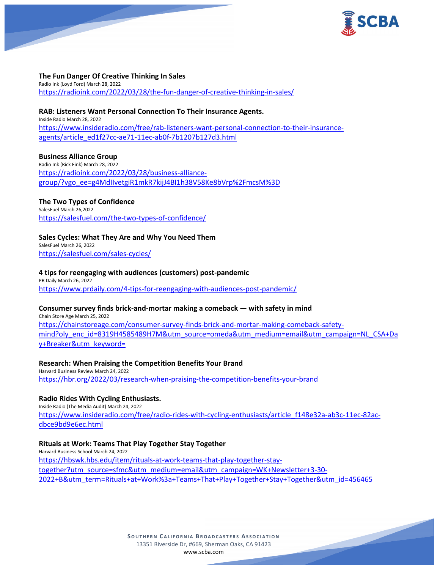

## **The Fun Danger Of Creative Thinking In Sales**

Radio Ink (Loyd Ford) March 28, 2022 <https://radioink.com/2022/03/28/the-fun-danger-of-creative-thinking-in-sales/>

### **RAB: Listeners Want Personal Connection To Their Insurance Agents.** Inside Radio March 28, 2022 [https://www.insideradio.com/free/rab-listeners-want-personal-connection-to-their-insurance](https://www.insideradio.com/free/rab-listeners-want-personal-connection-to-their-insurance-agents/article_ed1f27cc-ae71-11ec-ab0f-7b1207b127d3.html)[agents/article\\_ed1f27cc-ae71-11ec-ab0f-7b1207b127d3.html](https://www.insideradio.com/free/rab-listeners-want-personal-connection-to-their-insurance-agents/article_ed1f27cc-ae71-11ec-ab0f-7b1207b127d3.html)

## **Business Alliance Group**

Radio Ink (Rick Fink) March 28, 2022 [https://radioink.com/2022/03/28/business-alliance](https://radioink.com/2022/03/28/business-alliance-group/?vgo_ee=g4MdIIvetgiR1mkR7kijJ4BI1h38V58Ke8bVrp%2FmcsM%3D)[group/?vgo\\_ee=g4MdIIvetgiR1mkR7kijJ4BI1h38V58Ke8bVrp%2FmcsM%3D](https://radioink.com/2022/03/28/business-alliance-group/?vgo_ee=g4MdIIvetgiR1mkR7kijJ4BI1h38V58Ke8bVrp%2FmcsM%3D)

# **The Two Types of Confidence**

SalesFuel March 26,2022 <https://salesfuel.com/the-two-types-of-confidence/>

## **Sales Cycles: What They Are and Why You Need Them**

SalesFuel March 26, 2022 <https://salesfuel.com/sales-cycles/>

## **4 tips for reengaging with audiences (customers) post-pandemic**

PR Daily March 26, 2022 <https://www.prdaily.com/4-tips-for-reengaging-with-audiences-post-pandemic/>

### **Consumer survey finds brick-and-mortar making a comeback — with safety in mind**

Chain Store Age March 25, 2022 [https://chainstoreage.com/consumer-survey-finds-brick-and-mortar-making-comeback-safety](https://chainstoreage.com/consumer-survey-finds-brick-and-mortar-making-comeback-safety-mind?oly_enc_id=8319H4585489H7M&utm_source=omeda&utm_medium=email&utm_campaign=NL_CSA+Day+Breaker&utm_keyword=)[mind?oly\\_enc\\_id=8319H4585489H7M&utm\\_source=omeda&utm\\_medium=email&utm\\_campaign=NL\\_CSA+Da](https://chainstoreage.com/consumer-survey-finds-brick-and-mortar-making-comeback-safety-mind?oly_enc_id=8319H4585489H7M&utm_source=omeda&utm_medium=email&utm_campaign=NL_CSA+Day+Breaker&utm_keyword=) [y+Breaker&utm\\_keyword=](https://chainstoreage.com/consumer-survey-finds-brick-and-mortar-making-comeback-safety-mind?oly_enc_id=8319H4585489H7M&utm_source=omeda&utm_medium=email&utm_campaign=NL_CSA+Day+Breaker&utm_keyword=)

### **Research: When Praising the Competition Benefits Your Brand**

Harvard Business Review March 24, 2022 <https://hbr.org/2022/03/research-when-praising-the-competition-benefits-your-brand>

# **Radio Rides With Cycling Enthusiasts.**

Inside Radio (The Media Audit) March 24, 2022 [https://www.insideradio.com/free/radio-rides-with-cycling-enthusiasts/article\\_f148e32a-ab3c-11ec-82ac](https://www.insideradio.com/free/radio-rides-with-cycling-enthusiasts/article_f148e32a-ab3c-11ec-82ac-dbce9bd9e6ec.html)[dbce9bd9e6ec.html](https://www.insideradio.com/free/radio-rides-with-cycling-enthusiasts/article_f148e32a-ab3c-11ec-82ac-dbce9bd9e6ec.html)

### **Rituals at Work: Teams That Play Together Stay Together**

Harvard Business School March 24, 2022 [https://hbswk.hbs.edu/item/rituals-at-work-teams-that-play-together-stay](https://hbswk.hbs.edu/item/rituals-at-work-teams-that-play-together-stay-together?utm_source=sfmc&utm_medium=email&utm_campaign=WK+Newsletter+3-30-2022+B&utm_term=Rituals+at+Work%3a+Teams+That+Play+Together+Stay+Together&utm_id=456465)[together?utm\\_source=sfmc&utm\\_medium=email&utm\\_campaign=WK+Newsletter+3-30-](https://hbswk.hbs.edu/item/rituals-at-work-teams-that-play-together-stay-together?utm_source=sfmc&utm_medium=email&utm_campaign=WK+Newsletter+3-30-2022+B&utm_term=Rituals+at+Work%3a+Teams+That+Play+Together+Stay+Together&utm_id=456465) [2022+B&utm\\_term=Rituals+at+Work%3a+Teams+That+Play+Together+Stay+Together&utm\\_id=456465](https://hbswk.hbs.edu/item/rituals-at-work-teams-that-play-together-stay-together?utm_source=sfmc&utm_medium=email&utm_campaign=WK+Newsletter+3-30-2022+B&utm_term=Rituals+at+Work%3a+Teams+That+Play+Together+Stay+Together&utm_id=456465)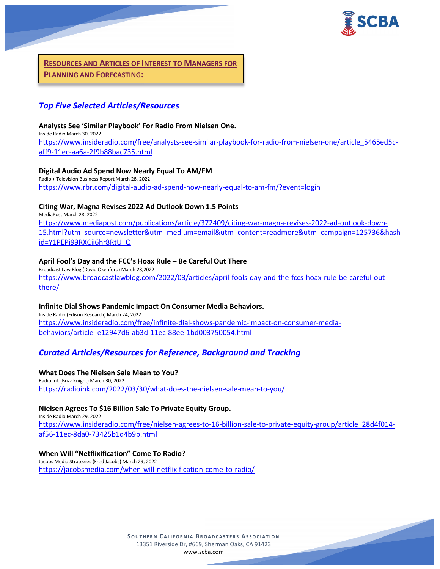

**RESOURCES AND ARTICLES OF INTEREST TO MANAGERS FOR PLANNING AND FORECASTING:**

# *Top Five Selected Articles/Resources*

## **Analysts See 'Similar Playbook' For Radio From Nielsen One.**

Inside Radio March 30, 2022 [https://www.insideradio.com/free/analysts-see-similar-playbook-for-radio-from-nielsen-one/article\\_5465ed5c](https://www.insideradio.com/free/analysts-see-similar-playbook-for-radio-from-nielsen-one/article_5465ed5c-aff9-11ec-aa6a-2f9b88bac735.html)[aff9-11ec-aa6a-2f9b88bac735.html](https://www.insideradio.com/free/analysts-see-similar-playbook-for-radio-from-nielsen-one/article_5465ed5c-aff9-11ec-aa6a-2f9b88bac735.html)

## **Digital Audio Ad Spend Now Nearly Equal To AM/FM**

Radio + Television Business Report March 28, 2022 <https://www.rbr.com/digital-audio-ad-spend-now-nearly-equal-to-am-fm/?event=login>

# **Citing War, Magna Revises 2022 Ad Outlook Down 1.5 Points**

MediaPost March 28, 2022

[https://www.mediapost.com/publications/article/372409/citing-war-magna-revises-2022-ad-outlook-down-](https://www.mediapost.com/publications/article/372409/citing-war-magna-revises-2022-ad-outlook-down-15.html?utm_source=newsletter&utm_medium=email&utm_content=readmore&utm_campaign=125736&hashid=Y1PEPj99RXCjj6hr8RtU_Q)[15.html?utm\\_source=newsletter&utm\\_medium=email&utm\\_content=readmore&utm\\_campaign=125736&hash](https://www.mediapost.com/publications/article/372409/citing-war-magna-revises-2022-ad-outlook-down-15.html?utm_source=newsletter&utm_medium=email&utm_content=readmore&utm_campaign=125736&hashid=Y1PEPj99RXCjj6hr8RtU_Q) [id=Y1PEPj99RXCjj6hr8RtU\\_Q](https://www.mediapost.com/publications/article/372409/citing-war-magna-revises-2022-ad-outlook-down-15.html?utm_source=newsletter&utm_medium=email&utm_content=readmore&utm_campaign=125736&hashid=Y1PEPj99RXCjj6hr8RtU_Q)

# **April Fool's Day and the FCC's Hoax Rule – Be Careful Out There**

Broadcast Law Blog (David Oxenford) March 28,2022 [https://www.broadcastlawblog.com/2022/03/articles/april-fools-day-and-the-fccs-hoax-rule-be-careful-out](https://www.broadcastlawblog.com/2022/03/articles/april-fools-day-and-the-fccs-hoax-rule-be-careful-out-there/)[there/](https://www.broadcastlawblog.com/2022/03/articles/april-fools-day-and-the-fccs-hoax-rule-be-careful-out-there/)

# **Infinite Dial Shows Pandemic Impact On Consumer Media Behaviors.**

Inside Radio (Edison Research) March 24, 2022 [https://www.insideradio.com/free/infinite-dial-shows-pandemic-impact-on-consumer-media](https://www.insideradio.com/free/infinite-dial-shows-pandemic-impact-on-consumer-media-behaviors/article_e12947d6-ab3d-11ec-88ee-1bd003750054.html)[behaviors/article\\_e12947d6-ab3d-11ec-88ee-1bd003750054.html](https://www.insideradio.com/free/infinite-dial-shows-pandemic-impact-on-consumer-media-behaviors/article_e12947d6-ab3d-11ec-88ee-1bd003750054.html)

# *Curated Articles/Resources for Reference, Background and Tracking*

### **What Does The Nielsen Sale Mean to You?**

Radio Ink (Buzz Knight) March 30, 2022 <https://radioink.com/2022/03/30/what-does-the-nielsen-sale-mean-to-you/>

# **Nielsen Agrees To \$16 Billion Sale To Private Equity Group.**

Inside Radio March 29, 2022 [https://www.insideradio.com/free/nielsen-agrees-to-16-billion-sale-to-private-equity-group/article\\_28d4f014](https://www.insideradio.com/free/nielsen-agrees-to-16-billion-sale-to-private-equity-group/article_28d4f014-af56-11ec-8da0-73425b1d4b9b.html) [af56-11ec-8da0-73425b1d4b9b.html](https://www.insideradio.com/free/nielsen-agrees-to-16-billion-sale-to-private-equity-group/article_28d4f014-af56-11ec-8da0-73425b1d4b9b.html)

# **When Will "Netflixification" Come To Radio?**

Jacobs Media Strategies (Fred Jacobs) March 29, 2022 <https://jacobsmedia.com/when-will-netflixification-come-to-radio/>

> **SOUTHERN C ALIFORNIA B ROADCASTERS ASSOCIATION** 13351 Riverside Dr, #669, Sherman Oaks, CA 91423 [www.scba.com](http://www.scba.com/)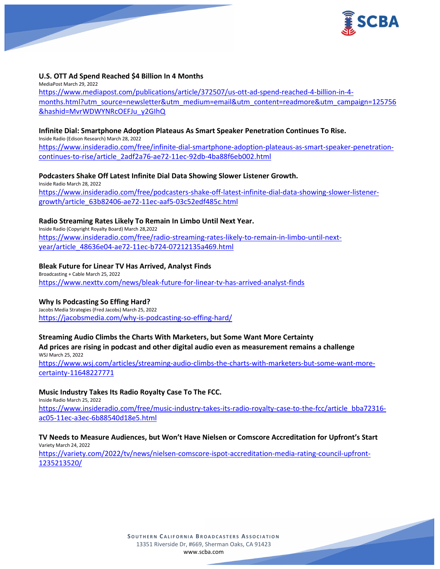

### **U.S. OTT Ad Spend Reached \$4 Billion In 4 Months**

MediaPost March 29, 2022 [https://www.mediapost.com/publications/article/372507/us-ott-ad-spend-reached-4-billion-in-4](https://www.mediapost.com/publications/article/372507/us-ott-ad-spend-reached-4-billion-in-4-months.html?utm_source=newsletter&utm_medium=email&utm_content=readmore&utm_campaign=125756&hashid=MvrWDWYNRcOEFJu_y2GIhQ) [months.html?utm\\_source=newsletter&utm\\_medium=email&utm\\_content=readmore&utm\\_campaign=125756](https://www.mediapost.com/publications/article/372507/us-ott-ad-spend-reached-4-billion-in-4-months.html?utm_source=newsletter&utm_medium=email&utm_content=readmore&utm_campaign=125756&hashid=MvrWDWYNRcOEFJu_y2GIhQ) [&hashid=MvrWDWYNRcOEFJu\\_y2GIhQ](https://www.mediapost.com/publications/article/372507/us-ott-ad-spend-reached-4-billion-in-4-months.html?utm_source=newsletter&utm_medium=email&utm_content=readmore&utm_campaign=125756&hashid=MvrWDWYNRcOEFJu_y2GIhQ)

### **Infinite Dial: Smartphone Adoption Plateaus As Smart Speaker Penetration Continues To Rise.**

Inside Radio (Edison Research) March 28, 2022 [https://www.insideradio.com/free/infinite-dial-smartphone-adoption-plateaus-as-smart-speaker-penetration](https://www.insideradio.com/free/infinite-dial-smartphone-adoption-plateaus-as-smart-speaker-penetration-continues-to-rise/article_2adf2a76-ae72-11ec-92db-4ba88f6eb002.html)[continues-to-rise/article\\_2adf2a76-ae72-11ec-92db-4ba88f6eb002.html](https://www.insideradio.com/free/infinite-dial-smartphone-adoption-plateaus-as-smart-speaker-penetration-continues-to-rise/article_2adf2a76-ae72-11ec-92db-4ba88f6eb002.html)

## **Podcasters Shake Off Latest Infinite Dial Data Showing Slower Listener Growth.**

Inside Radio March 28, 2022 [https://www.insideradio.com/free/podcasters-shake-off-latest-infinite-dial-data-showing-slower-listener](https://www.insideradio.com/free/podcasters-shake-off-latest-infinite-dial-data-showing-slower-listener-growth/article_63b82406-ae72-11ec-aaf5-03c52edf485c.html)[growth/article\\_63b82406-ae72-11ec-aaf5-03c52edf485c.html](https://www.insideradio.com/free/podcasters-shake-off-latest-infinite-dial-data-showing-slower-listener-growth/article_63b82406-ae72-11ec-aaf5-03c52edf485c.html)

## **Radio Streaming Rates Likely To Remain In Limbo Until Next Year.**

Inside Radio (Copyright Royalty Board) March 28,2022 [https://www.insideradio.com/free/radio-streaming-rates-likely-to-remain-in-limbo-until-next](https://www.insideradio.com/free/radio-streaming-rates-likely-to-remain-in-limbo-until-next-year/article_48636e04-ae72-11ec-b724-07212135a469.html)[year/article\\_48636e04-ae72-11ec-b724-07212135a469.html](https://www.insideradio.com/free/radio-streaming-rates-likely-to-remain-in-limbo-until-next-year/article_48636e04-ae72-11ec-b724-07212135a469.html)

## **Bleak Future for Linear TV Has Arrived, Analyst Finds**

Broadcasting + Cable March 25, 2022 <https://www.nexttv.com/news/bleak-future-for-linear-tv-has-arrived-analyst-finds>

# **Why Is Podcasting So Effing Hard?**

Jacobs Media Strategies (Fred Jacobs) March 25, 2022 <https://jacobsmedia.com/why-is-podcasting-so-effing-hard/>

# **Streaming Audio Climbs the Charts With Marketers, but Some Want More Certainty**

**Ad prices are rising in podcast and other digital audio even as measurement remains a challenge** WSJ March 25, 2022

[https://www.wsj.com/articles/streaming-audio-climbs-the-charts-with-marketers-but-some-want-more](https://www.wsj.com/articles/streaming-audio-climbs-the-charts-with-marketers-but-some-want-more-certainty-11648227771)[certainty-11648227771](https://www.wsj.com/articles/streaming-audio-climbs-the-charts-with-marketers-but-some-want-more-certainty-11648227771)

### **Music Industry Takes Its Radio Royalty Case To The FCC.**

Inside Radio March 25, 2022 [https://www.insideradio.com/free/music-industry-takes-its-radio-royalty-case-to-the-fcc/article\\_bba72316](https://www.insideradio.com/free/music-industry-takes-its-radio-royalty-case-to-the-fcc/article_bba72316-ac05-11ec-a3ec-6b88540d18e5.html) [ac05-11ec-a3ec-6b88540d18e5.html](https://www.insideradio.com/free/music-industry-takes-its-radio-royalty-case-to-the-fcc/article_bba72316-ac05-11ec-a3ec-6b88540d18e5.html)

# **TV Needs to Measure Audiences, but Won't Have Nielsen or Comscore Accreditation for Upfront's Start**

Variety March 24, 2022

[https://variety.com/2022/tv/news/nielsen-comscore-ispot-accreditation-media-rating-council-upfront-](https://variety.com/2022/tv/news/nielsen-comscore-ispot-accreditation-media-rating-council-upfront-1235213520/)[1235213520/](https://variety.com/2022/tv/news/nielsen-comscore-ispot-accreditation-media-rating-council-upfront-1235213520/)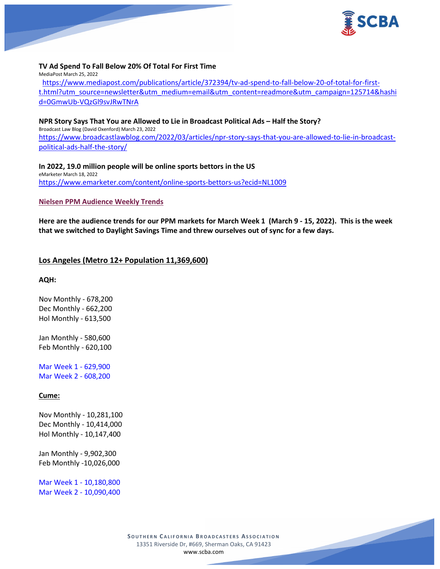

### **TV Ad Spend To Fall Below 20% Of Total For First Time**

MediaPost March 25, 2022

[https://www.mediapost.com/publications/article/372394/tv-ad-spend-to-fall-below-20-of-total-for-first](https://www.mediapost.com/publications/article/372394/tv-ad-spend-to-fall-below-20-of-total-for-first-t.html?utm_source=newsletter&utm_medium=email&utm_content=readmore&utm_campaign=125714&hashid=0GmwUb-VQzGl9svJRwTNrA)[t.html?utm\\_source=newsletter&utm\\_medium=email&utm\\_content=readmore&utm\\_campaign=125714&hashi](https://www.mediapost.com/publications/article/372394/tv-ad-spend-to-fall-below-20-of-total-for-first-t.html?utm_source=newsletter&utm_medium=email&utm_content=readmore&utm_campaign=125714&hashid=0GmwUb-VQzGl9svJRwTNrA) [d=0GmwUb-VQzGl9svJRwTNrA](https://www.mediapost.com/publications/article/372394/tv-ad-spend-to-fall-below-20-of-total-for-first-t.html?utm_source=newsletter&utm_medium=email&utm_content=readmore&utm_campaign=125714&hashid=0GmwUb-VQzGl9svJRwTNrA)

### **NPR Story Says That You are Allowed to Lie in Broadcast Political Ads – Half the Story?**

Broadcast Law Blog (David Oxenford) March 23, 2022 [https://www.broadcastlawblog.com/2022/03/articles/npr-story-says-that-you-are-allowed-to-lie-in-broadcast](https://www.broadcastlawblog.com/2022/03/articles/npr-story-says-that-you-are-allowed-to-lie-in-broadcast-political-ads-half-the-story/)[political-ads-half-the-story/](https://www.broadcastlawblog.com/2022/03/articles/npr-story-says-that-you-are-allowed-to-lie-in-broadcast-political-ads-half-the-story/)

### **In 2022, 19.0 million people will be online sports bettors in the US**

eMarketer March 18, 2022 <https://www.emarketer.com/content/online-sports-bettors-us?ecid=NL1009>

#### **Nielsen PPM Audience Weekly Trends**

**Here are the audience trends for our PPM markets for March Week 1 (March 9 - 15, 2022). This is the week that we switched to Daylight Savings Time and threw ourselves out of sync for a few days.**

## **Los Angeles (Metro 12+ Population 11,369,600)**

#### **AQH:**

Nov Monthly - 678,200 Dec Monthly - 662,200 Hol Monthly - 613,500

Jan Monthly - 580,600 Feb Monthly - 620,100

Mar Week 1 - 629,900 Mar Week 2 - 608,200

### **Cume:**

Nov Monthly - 10,281,100 Dec Monthly - 10,414,000 Hol Monthly - 10,147,400

Jan Monthly - 9,902,300 Feb Monthly -10,026,000

Mar Week 1 - 10,180,800 Mar Week 2 - 10,090,400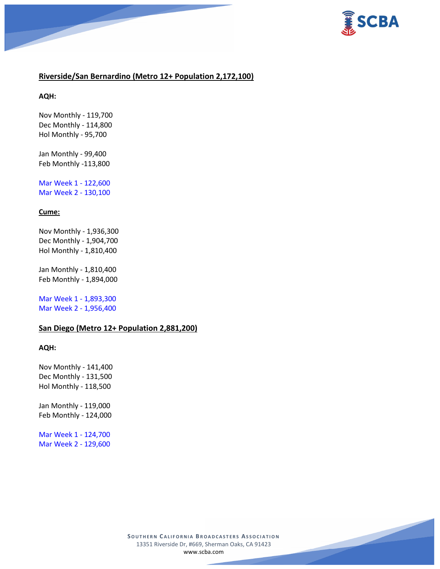



# **Riverside/San Bernardino (Metro 12+ Population 2,172,100)**

**AQH:**

Nov Monthly - 119,700 Dec Monthly - 114,800 Hol Monthly - 95,700

Jan Monthly - 99,400 Feb Monthly -113,800

Mar Week 1 - 122,600 Mar Week 2 - 130,100

# **Cume:**

Nov Monthly - 1,936,300 Dec Monthly - 1,904,700 Hol Monthly - 1,810,400

Jan Monthly - 1,810,400 Feb Monthly - 1,894,000

Mar Week 1 - 1,893,300 Mar Week 2 - 1,956,400

## **San Diego (Metro 12+ Population 2,881,200)**

## **AQH:**

Nov Monthly - 141,400 Dec Monthly - 131,500 Hol Monthly - 118,500

Jan Monthly - 119,000 Feb Monthly - 124,000

Mar Week 1 - 124,700 Mar Week 2 - 129,600